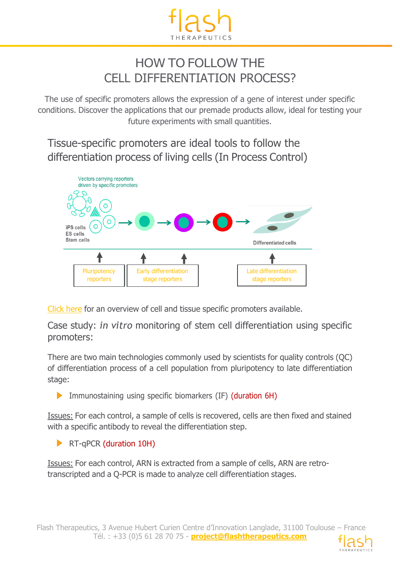

## HOW TO FOLLOW THE CELL DIFFERENTIATION PROCESS?

The use of specific promoters allows the expression of a gene of interest under specific conditions. Discover the applications that our premade products allow, ideal for testing your future experiments with small quantities.

Tissue-specific promoters are ideal tools to follow the differentiation process of living cells (In Process Control)



[Click](https://www.vectalys.com/files/pmedia/public/r404_9_overview_tissue_and_cell_specific_promoters.pdf) here for an overview of cell and tissue specific promoters available.

Case study: *in vitro* monitoring of stem cell differentiation using specific promoters:

There are two main technologies commonly used by scientists for quality controls (QC) of differentiation process of a cell population from pluripotency to late differentiation stage:

Immunostaining using specific biomarkers (IF) (duration 6H)

Issues: For each control, a sample of cells is recovered, cells are then fixed and stained with a specific antibody to reveal the differentiation step.

**RT-qPCR (duration 10H)** 

Issues: For each control, ARN is extracted from a sample of cells, ARN are retrotranscripted and a Q-PCR is made to analyze cell differentiation stages.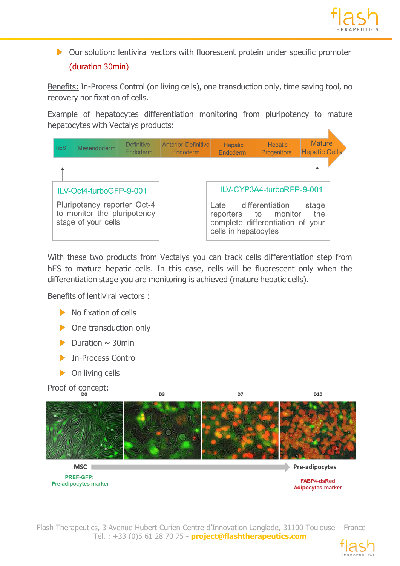

 Our solution: lentiviral vectors with fluorescent protein under specific promoter (duration 30min)

Benefits: In-Process Control (on living cells), one transduction only, time saving tool, no recovery nor fixation of cells.

Example of hepatocytes differentiation monitoring from pluripotency to mature hepatocytes with Vectalys products:



With these two products from Vectalys you can track cells differentiation step from hES to mature hepatic cells. In this case, cells will be fluorescent only when the differentiation stage you are monitoring is achieved (mature hepatic cells).

Benefits of lentiviral vectors :

- $\blacktriangleright$  No fixation of cells
- One transduction only
- Duration  $\sim$  30min
- In-Process Control
- $\triangleright$  On living cells

Proof of concept:



Flash Therapeutics, 3 Avenue Hubert Curien Centre d'Innovation Langlade, 31100 Toulouse – France Tél. : +33 (0)5 61 28 70 75 - **project@flashtherapeutics.com**



**Adipocytes marker**